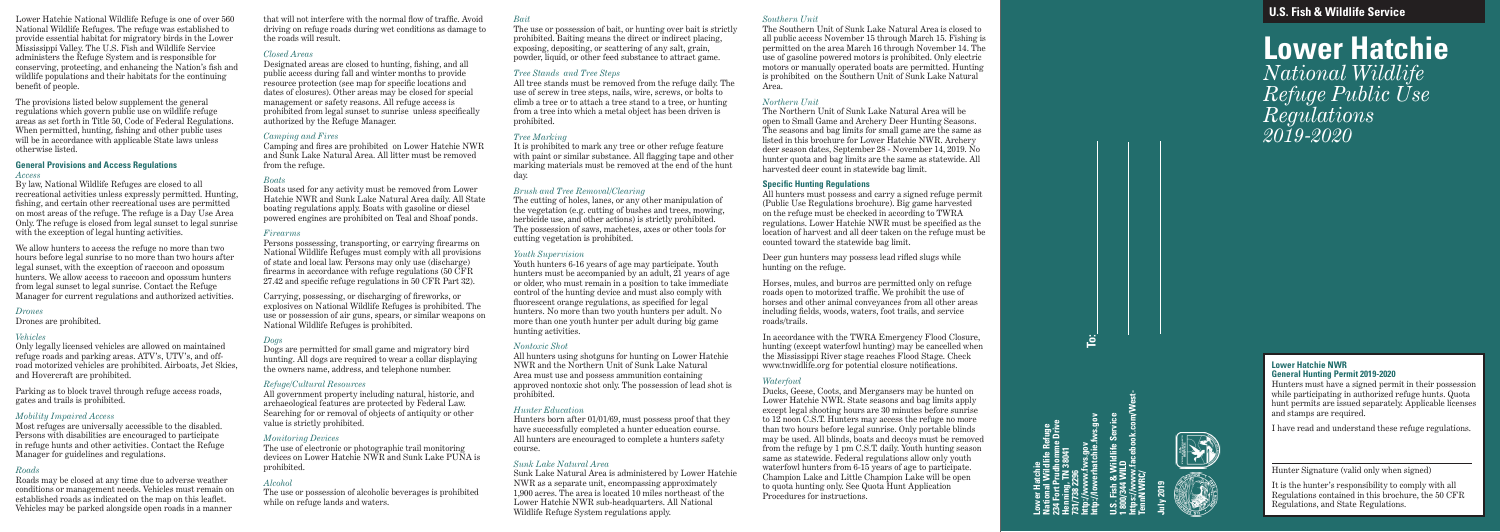**U.S. Fish & Wildlife Service**

**Lower Hatchie** *National Wildlife Refuge Public Use Regulations 2019-2020*

**http://lowerhatchie.fws.gov** atchie<br>Wildlife Refuge<br>Prudhomme Drive<br>, TN 38041 **234 Fort Prudhomme Drive** 2296<br>אישילואיג.gov<br>אינוו-גר.com **National Wildlife Refuge http://www.fws.gov Henning, TN 38041 Lower Hatchie 731/738 2296**

**https://www.facebook.com/West-U.S. Fish & Wildlife Service** & Wildlife :<br>| WILD<br>| ww.faceboo **1 800/344 WILD TennNWRC/**

**July 2019** 



# **Lower Hatchie NWR General Hunting Permit 2019-2020**

Hunters must have a signed permit in their possession while participating in authorized refuge hunts. Quota hunt permits are issued separately. Applicable licenses and stamps are required.

I have read and understand these refuge regulations.

Hunter Signature (valid only when signed)

It is the hunter's responsibility to comply with all Regulations contained in this brochure, the 50 CFR Regulations, and State Regulations.

Lower Hatchie National Wildlife Refuge is one of over 560 National Wildlife Refuges. The refuge was established to provide essential habitat for migratory birds in the Lower Mississippi Valley. The U.S. Fish and Wildlife Service administers the Refuge System and is responsible for conserving, protecting, and enhancing the Nation's fish and wildlife populations and their habitats for the continuing benefit of people.

The provisions listed below supplement the general regulations which govern public use on wildlife refuge areas as set forth in Title 50, Code of Federal Regulations. When permitted, hunting, fishing and other public uses will be in accordance with applicable State laws unless otherwise listed.

### **General Provisions and Access Regulations** *Access*

By law, National Wildlife Refuges are closed to all recreational activities unless expressly permitted. Hunting, fishing, and certain other recreational uses are permitted on most areas of the refuge. The refuge is a Day Use Area Only. The refuge is closed from legal sunset to legal sunrise with the exception of legal hunting activities.

We allow hunters to access the refuge no more than two hours before legal sunrise to no more than two hours after legal sunset, with the exception of raccoon and opossum hunters. We allow access to raccoon and opossum hunters from legal sunset to legal sunrise. Contact the Refuge Manager for current regulations and authorized activities.

## *Drones*

Drones are prohibited.

### *Vehicles*

Only legally licensed vehicles are allowed on maintained refuge roads and parking areas. ATV's, UTV's, and offroad motorized vehicles are prohibited. Airboats, Jet Skies, and Hovercraft are prohibited.

Parking as to block travel through refuge access roads, gates and trails is prohibited.

## *Mobility Impaired Access*

Most refuges are universally accessible to the disabled. Persons with disabilities are encouraged to participate in refuge hunts and other activities. Contact the Refuge Manager for guidelines and regulations.

## *Roads*

Roads may be closed at any time due to adverse weather conditions or management needs. Vehicles must remain on established roads as indicated on the map on this leaflet. Vehicles may be parked alongside open roads in a manner

that will not interfere with the normal flow of traffic. Avoid driving on refuge roads during wet conditions as damage to the roads will result.

# *Closed Areas*

Designated areas are closed to hunting, fishing, and all public access during fall and winter months to provide resource protection (see map for specific locations and dates of closures). Other areas may be closed for special management or safety reasons. All refuge access is prohibited from legal sunset to sunrise unless specifically authorized by the Refuge Manager.

# *Camping and Fires*

Camping and fires are prohibited on Lower Hatchie NWR and Sunk Lake Natural Area. All litter must be removed from the refuge.

# *Boats*

Boats used for any activity must be removed from Lower Hatchie NWR and Sunk Lake Natural Area daily. All State boating regulations apply. Boats with gasoline or diesel powered engines are prohibited on Teal and Shoaf ponds.

### *Firearms*

Persons possessing, transporting, or carrying firearms on National Wildlife Refuges must comply with all provisions of state and local law. Persons may only use (discharge) firearms in accordance with refuge regulations (50 CFR 27.42 and specific refuge regulations in 50 CFR Part 32).

Carrying, possessing, or discharging of fireworks, or explosives on National Wildlife Refuges is prohibited. The use or possession of air guns, spears, or similar weapons on National Wildlife Refuges is prohibited.

### *Dogs*

Dogs are permitted for small game and migratory bird hunting. All dogs are required to wear a collar displaying the owners name, address, and telephone number.

### *Refuge/Cultural Resources*

All government property including natural, historic, and archaeological features are protected by Federal Law. Searching for or removal of objects of antiquity or other value is strictly prohibited.

## *Monitoring Devices*

The use of electronic or photographic trail monitoring devices on Lower Hatchie NWR and Sunk Lake PUNA is prohibited.

## *Alcohol*

The use or possession of alcoholic beverages is prohibited while on refuge lands and waters.

## *Bait*

The use or possession of bait, or hunting over bait is strictly prohibited. Baiting means the direct or indirect placing, exposing, depositing, or scattering of any salt, grain, powder, liquid, or other feed substance to attract game.

# *Tree Stands and Tree Steps*

All tree stands must be removed from the refuge daily. The use of screw in tree steps, nails, wire, screws, or bolts to climb a tree or to attach a tree stand to a tree, or hunting from a tree into which a metal object has been driven is prohibited.

# *Tree Marking*

It is prohibited to mark any tree or other refuge feature with paint or similar substance. All flagging tape and other marking materials must be removed at the end of the hunt day.

# *Brush and Tree Removal/Clearing*

The cutting of holes, lanes, or any other manipulation of the vegetation (e.g. cutting of bushes and trees, mowing, herbicide use, and other actions) is strictly prohibited. The possession of saws, machetes, axes or other tools for cutting vegetation is prohibited.

### *Youth Supervision*

Youth hunters 6-16 years of age may participate. Youth hunters must be accompanied by an adult,  $21$  years of age or older, who must remain in a position to take immediate control of the hunting device and must also comply with fluorescent orange regulations, as specified for legal hunters. No more than two youth hunters per adult. No more than one youth hunter per adult during big game hunting activities.

## *Nontoxic Shot*

All hunters using shotguns for hunting on Lower Hatchie NWR and the Northern Unit of Sunk Lake Natural Area must use and possess ammunition containing approved nontoxic shot only. The possession of lead shot is prohibited.

# *Hunter Education*

Hunters born after 01/01/69, must possess proof that they have successfully completed a hunter education course. All hunters are encouraged to complete a hunters safety course.

# *Sunk Lake Natural Area*

Sunk Lake Natural Area is administered by Lower Hatchie NWR as a separate unit, encompassing approximately 1,900 acres. The area is located 10 miles northeast of the Lower Hatchie NWR sub-headquarters. All National Wildlife Refuge System regulations apply.

### *Southern Unit*

The Southern Unit of Sunk Lake Natural Area is closed to all public access November 15 through March 15. Fishing is permitted on the area March 16 through November 14. The use of gasoline powered motors is prohibited. Only electric motors or manually operated boats are permitted. Hunting is prohibited on the Southern Unit of Sunk Lake Natural

Area.

### *Northern Unit*

The Northern Unit of Sunk Lake Natural Area will be open to Small Game and Archery Deer Hunting Seasons. The seasons and bag limits for small game are the same as listed in this brochure for Lower Hatchie NWR. Archery deer season dates, September 28 - November 14, 2019. No hunter quota and bag limits are the same as statewide. All harvested deer count in statewide bag limit.

# **Specific Hunting Regulations**

All hunters must possess and carry a signed refuge permit (Public Use Regulations brochure). Big game harvested on the refuge must be checked in according to TWRA regulations. Lower Hatchie NWR must be specified as the location of harvest and all deer taken on the refuge must be counted toward the statewide bag limit.

Deer gun hunters may possess lead rifled slugs while hunting on the refuge.

Horses, mules, and burros are permitted only on refuge roads open to motorized traffic. We prohibit the use of horses and other animal conveyances from all other areas including fields, woods, waters, foot trails, and service roads/trails.

In accordance with the TWRA Emergency Flood Closure, hunting (except waterfowl hunting) may be cancelled when the Mississippi River stage reaches Flood Stage. Check www.tnwidlife.org for potential closure notifications.

# *Waterfowl*

Ducks, Geese, Coots, and Mergansers may be hunted on Lower Hatchie NWR. State seasons and bag limits apply except legal shooting hours are 30 minutes before sunrise to 12 noon C.S.T. Hunters may access the refuge no more than two hours before legal sunrise. Only portable blinds may be used. All blinds, boats and decoys must be removed from the refuge by 1 pm C.S.T. daily. Youth hunting season same as statewide. Federal regulations allow only youth waterfowl hunters from 6-15 years of age to participate. Champion Lake and Little Champion Lake will be open to quota hunting only. See Quota Hunt Application Procedures for instructions.

**To:**